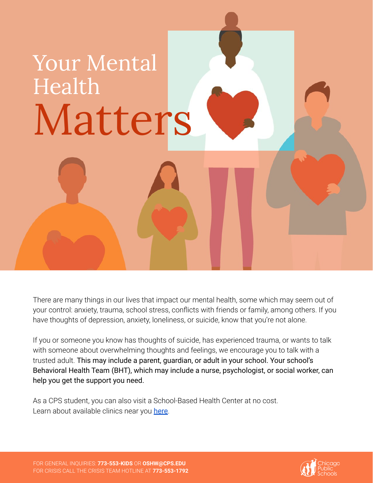## Your Mental Health Matters

There are many things in our lives that impact our mental health, some which may seem out of your control: anxiety, trauma, school stress, conflicts with friends or family, among others. If you have thoughts of depression, anxiety, loneliness, or suicide, know that you're not alone.

If you or someone you know has thoughts of suicide, has experienced trauma, or wants to talk with someone about overwhelming thoughts and feelings, we encourage you to talk with a trusted adult. This may include a parent, guardian, or adult in your school. Your school's Behavioral Health Team (BHT), which may include a nurse, psychologist, or social worker, can help you get the support you need.

As a CPS student, you can also visit a School-Based Health Center at no cost. Learn about available clinics near you [here](https://sites.google.com/a/cps.edu/kc/resource-allocation/office-of-student-health-and-wellness/health-services/school-based-health-centers).